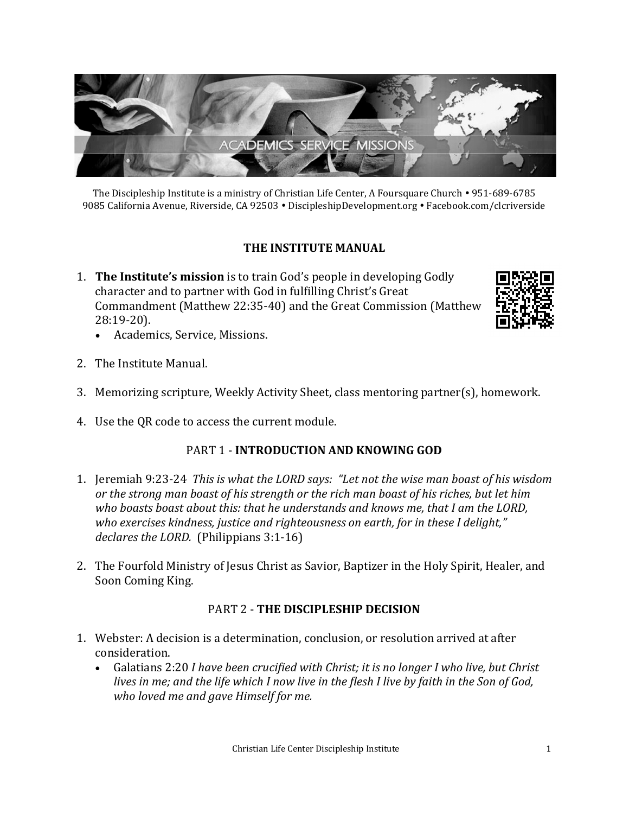

The Discipleship Institute is a ministry of Christian Life Center, A Foursquare Church • 951-689-6785 9085 California Avenue, Riverside, CA 92503 · DiscipleshipDevelopment.org · Facebook.com/clcriverside

## **THE INSTITUTE MANUAL**

1. **The Institute's mission** is to train God's people in developing Godly character and to partner with God in fulfilling Christ's Great Commandment (Matthew 22:35-40) and the Great Commission (Matthew 28:19-20).



- Academics, Service, Missions.
- 2. The Institute Manual.
- 3. Memorizing scripture, Weekly Activity Sheet, class mentoring partner(s), homework.
- 4. Use the QR code to access the current module.

### PART 1 - **INTRODUCTION AND KNOWING GOD**

- 1. Jeremiah 9:23-24 *This is what the LORD says: "Let not the wise man boast of his wisdom or the strong man boast of his strength or the rich man boast of his riches, but let him who boasts boast about this: that he understands and knows me, that I am the LORD, who exercises kindness, justice and righteousness on earth, for in these I delight," declares the LORD.* (Philippians 3:1-16)
- 2. The Fourfold Ministry of Jesus Christ as Savior, Baptizer in the Holy Spirit, Healer, and Soon Coming King.

### PART 2 - **THE DISCIPLESHIP DECISION**

- 1. Webster: A decision is a determination, conclusion, or resolution arrived at after consideration.
	- Galatians 2:20 *I have been crucified with Christ; it is no longer I who live, but Christ lives in me; and the life which I now live in the flesh I live by faith in the Son of God, who loved me and gave Himself for me.*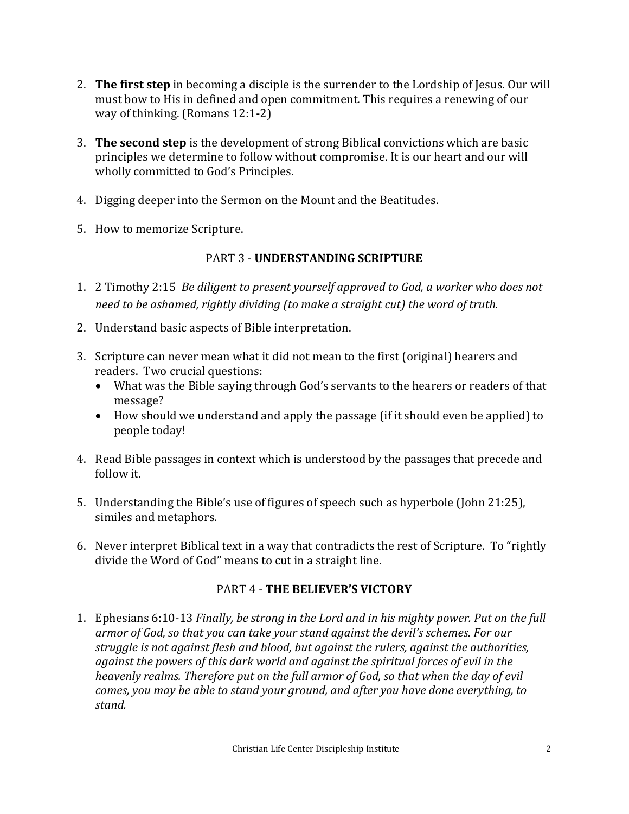- 2. **The first step** in becoming a disciple is the surrender to the Lordship of Jesus. Our will must bow to His in defined and open commitment. This requires a renewing of our way of thinking. (Romans 12:1-2)
- 3. **The second step** is the development of strong Biblical convictions which are basic principles we determine to follow without compromise. It is our heart and our will wholly committed to God's Principles.
- 4. Digging deeper into the Sermon on the Mount and the Beatitudes.
- 5. How to memorize Scripture.

## PART 3 - **UNDERSTANDING SCRIPTURE**

- 1. 2 Timothy 2:15 *Be diligent to present yourself approved to God, a worker who does not need to be ashamed, rightly dividing (to make a straight cut) the word of truth.*
- 2. Understand basic aspects of Bible interpretation.
- 3. Scripture can never mean what it did not mean to the first (original) hearers and readers. Two crucial questions:
	- What was the Bible saying through God's servants to the hearers or readers of that message?
	- How should we understand and apply the passage (if it should even be applied) to people today!
- 4. Read Bible passages in context which is understood by the passages that precede and follow it.
- 5. Understanding the Bible's use of figures of speech such as hyperbole (John 21:25), similes and metaphors.
- 6. Never interpret Biblical text in a way that contradicts the rest of Scripture. To "rightly divide the Word of God" means to cut in a straight line.

# PART 4 - **THE BELIEVER'S VICTORY**

1. Ephesians 6:10-13 *Finally, be strong in the Lord and in his mighty power. Put on the full armor of God, so that you can take your stand against the devil's schemes. For our struggle is not against flesh and blood, but against the rulers, against the authorities, against the powers of this dark world and against the spiritual forces of evil in the heavenly realms. Therefore put on the full armor of God, so that when the day of evil comes, you may be able to stand your ground, and after you have done everything, to stand.*